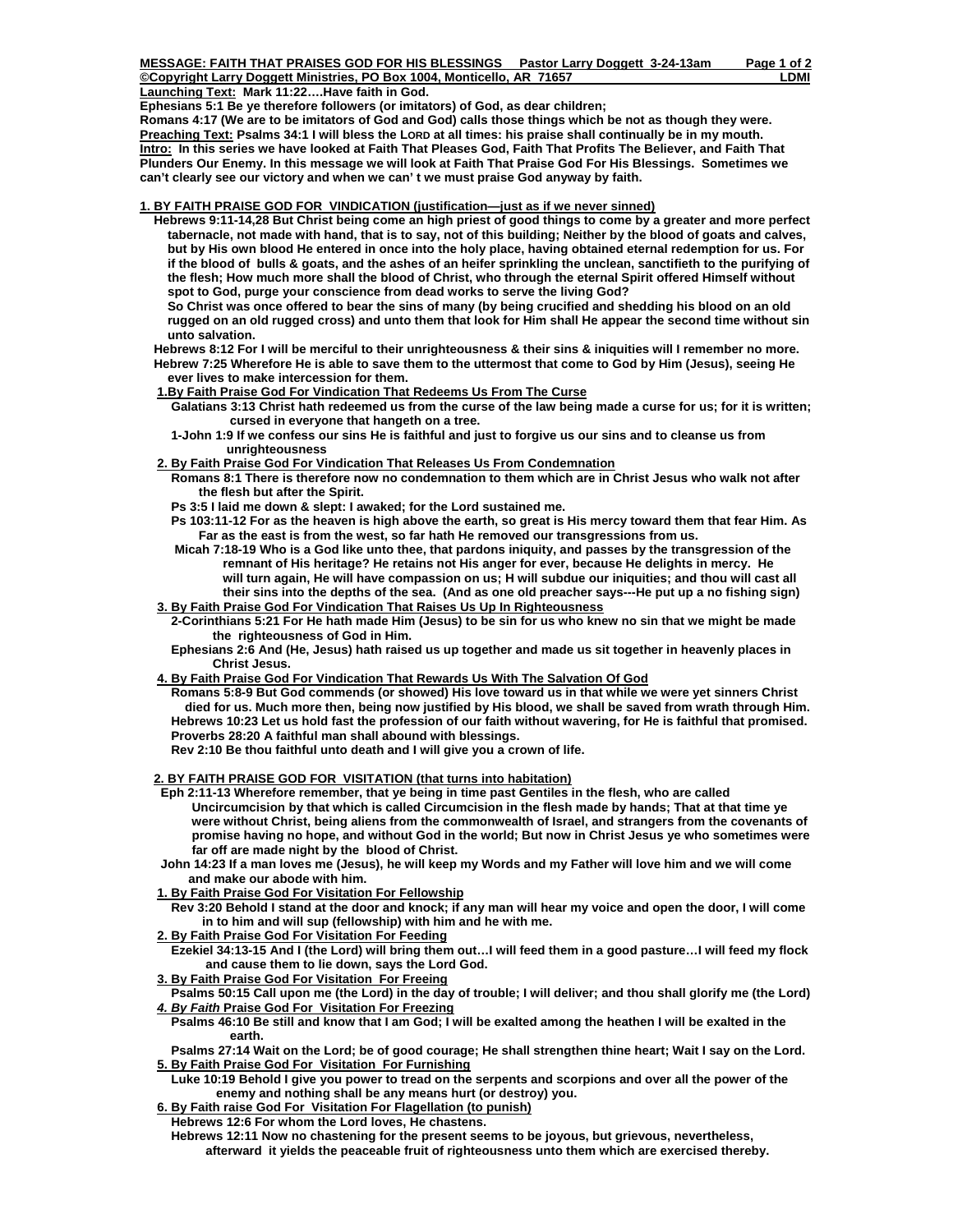| MESSAGE: FAITH THAT PRAISES GOD FOR HIS BLESSINGS Pastor Larry Doggett 3-24-13am | Page 1 of 2 |
|----------------------------------------------------------------------------------|-------------|
| ©Copyright Larry Doggett Ministries, PO Box 1004, Monticello, AR 71657           | LDMI        |
| Launching Text: Mark 11:22Have faith in God.                                     |             |

**Ephesians 5:1 Be ye therefore followers (or imitators) of God, as dear children;** 

**Romans 4:17 (We are to be imitators of God and God) calls those things which be not as though they were. Preaching Text: Psalms 34:1 I will bless the LORD at all times: his praise shall continually be in my mouth. Intro: In this series we have looked at Faith That Pleases God, Faith That Profits The Believer, and Faith That Plunders Our Enemy. In this message we will look at Faith That Praise God For His Blessings. Sometimes we can't clearly see our victory and when we can' t we must praise God anyway by faith.** 

## **1. BY FAITH PRAISE GOD FOR VINDICATION (justification—just as if we never sinned)**

 **Hebrews 9:11-14,28 But Christ being come an high priest of good things to come by a greater and more perfect tabernacle, not made with hand, that is to say, not of this building; Neither by the blood of goats and calves, but by His own blood He entered in once into the holy place, having obtained eternal redemption for us. For if the blood of bulls & goats, and the ashes of an heifer sprinkling the unclean, sanctifieth to the purifying of the flesh; How much more shall the blood of Christ, who through the eternal Spirit offered Himself without spot to God, purge your conscience from dead works to serve the living God?** 

 **So Christ was once offered to bear the sins of many (by being crucified and shedding his blood on an old rugged on an old rugged cross) and unto them that look for Him shall He appear the second time without sin unto salvation.** 

 **Hebrews 8:12 For I will be merciful to their unrighteousness & their sins & iniquities will I remember no more. Hebrew 7:25 Wherefore He is able to save them to the uttermost that come to God by Him (Jesus), seeing He ever lives to make intercession for them.** 

 **1.By Faith Praise God For Vindication That Redeems Us From The Curse**

- **Galatians 3:13 Christ hath redeemed us from the curse of the law being made a curse for us; for it is written; cursed in everyone that hangeth on a tree.**
- **1-John 1:9 If we confess our sins He is faithful and just to forgive us our sins and to cleanse us from unrighteousness**

### **2. By Faith Praise God For Vindication That Releases Us From Condemnation**

- **Romans 8:1 There is therefore now no condemnation to them which are in Christ Jesus who walk not after the flesh but after the Spirit.**
- **Ps 3:5 I laid me down & slept: I awaked; for the Lord sustained me.**
- **Ps 103:11-12 For as the heaven is high above the earth, so great is His mercy toward them that fear Him. As Far as the east is from the west, so far hath He removed our transgressions from us.**
- **Micah 7:18-19 Who is a God like unto thee, that pardons iniquity, and passes by the transgression of the remnant of His heritage? He retains not His anger for ever, because He delights in mercy. He will turn again, He will have compassion on us; H will subdue our iniquities; and thou will cast all their sins into the depths of the sea. (And as one old preacher says---He put up a no fishing sign) 3. By Faith Praise God For Vindication That Raises Us Up In Righteousness**
- **2-Corinthians 5:21 For He hath made Him (Jesus) to be sin for us who knew no sin that we might be made the righteousness of God in Him.** 
	- **Ephesians 2:6 And (He, Jesus) hath raised us up together and made us sit together in heavenly places in Christ Jesus.**
- **4. By Faith Praise God For Vindication That Rewards Us With The Salvation Of God**
	- **Romans 5:8-9 But God commends (or showed) His love toward us in that while we were yet sinners Christ died for us. Much more then, being now justified by His blood, we shall be saved from wrath through Him. Hebrews 10:23 Let us hold fast the profession of our faith without wavering, for He is faithful that promised. Proverbs 28:20 A faithful man shall abound with blessings.**

 **Rev 2:10 Be thou faithful unto death and I will give you a crown of life.** 

# **2. BY FAITH PRAISE GOD FOR VISITATION (that turns into habitation)**

- **Eph 2:11-13 Wherefore remember, that ye being in time past Gentiles in the flesh, who are called Uncircumcision by that which is called Circumcision in the flesh made by hands; That at that time ye were without Christ, being aliens from the commonwealth of Israel, and strangers from the covenants of promise having no hope, and without God in the world; But now in Christ Jesus ye who sometimes were far off are made night by the blood of Christ.**
- **John 14:23 If a man loves me (Jesus), he will keep my Words and my Father will love him and we will come and make our abode with him.**
- **1. By Faith Praise God For Visitation For Fellowship**
- **Rev 3:20 Behold I stand at the door and knock; if any man will hear my voice and open the door, I will come in to him and will sup (fellowship) with him and he with me.**
- **2. By Faith Praise God For Visitation For Feeding**
- **Ezekiel 34:13-15 And I (the Lord) will bring them out…I will feed them in a good pasture…I will feed my flock and cause them to lie down, says the Lord God.**
- **3. By Faith Praise God For Visitation For Freeing**

 **Psalms 50:15 Call upon me (the Lord) in the day of trouble; I will deliver; and thou shall glorify me (the Lord)** *4. By Faith* **Praise God For Visitation For Freezing**

 **Psalms 46:10 Be still and know that I am God; I will be exalted among the heathen I will be exalted in the earth.** 

 **Psalms 27:14 Wait on the Lord; be of good courage; He shall strengthen thine heart; Wait I say on the Lord. 5. By Faith Praise God For Visitation For Furnishing**

 **Luke 10:19 Behold I give you power to tread on the serpents and scorpions and over all the power of the enemy and nothing shall be any means hurt (or destroy) you.** 

 **6. By Faith raise God For Visitation For Flagellation (to punish)**

 **Hebrews 12:6 For whom the Lord loves, He chastens.** 

 **Hebrews 12:11 Now no chastening for the present seems to be joyous, but grievous, nevertheless, afterward it yields the peaceable fruit of righteousness unto them which are exercised thereby.**